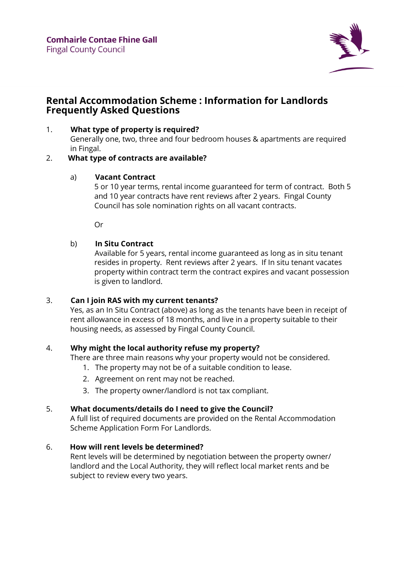

# **Rental Accommodation Scheme : Information for Landlords Frequently Asked Questions**

## 1. **What type of property is required?**

Generally one, two, three and four bedroom houses & apartments are required in Fingal.

# 2. **What type of contracts are available?**

## a) **Vacant Contract**

5 or 10 year terms, rental income guaranteed for term of contract. Both 5 and 10 year contracts have rent reviews after 2 years. Fingal County Council has sole nomination rights on all vacant contracts.

Or

# b) **In Situ Contract**

Available for 5 years, rental income guaranteed as long as in situ tenant resides in property. Rent reviews after 2 years. If In situ tenant vacates property within contract term the contract expires and vacant possession is given to landlord.

# 3. **Can I join RAS with my current tenants?**

Yes, as an In Situ Contract (above) as long as the tenants have been in receipt of rent allowance in excess of 18 months, and live in a property suitable to their housing needs, as assessed by Fingal County Council.

# 4. **Why might the local authority refuse my property?**

There are three main reasons why your property would not be considered.

- 1. The property may not be of a suitable condition to lease.
- 2. Agreement on rent may not be reached.
- 3. The property owner/landlord is not tax compliant.

# 5. **What documents/details do I need to give the Council?**

A full list of required documents are provided on the Rental Accommodation Scheme Application Form For Landlords.

# 6. **How will rent levels be determined?**

Rent levels will be determined by negotiation between the property owner/ landlord and the Local Authority, they will reflect local market rents and be subject to review every two years.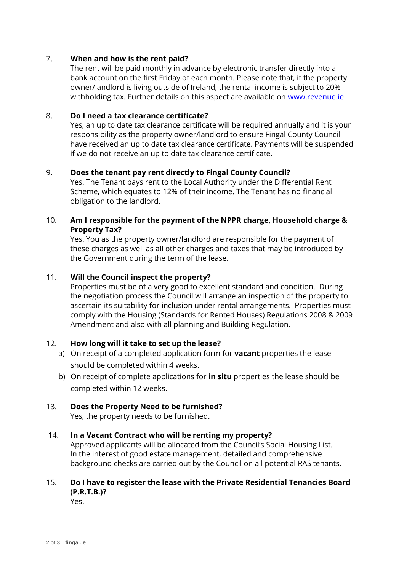## 7. **When and how is the rent paid?**

The rent will be paid monthly in advance by electronic transfer directly into a bank account on the first Friday of each month. Please note that, if the property owner/landlord is living outside of Ireland, the rental income is subject to 20% withholding tax. Further details on this aspect are available on [www.revenue.ie.](http://www.revenue.ie/)

#### 8. **Do I need a tax clearance certificate?**

Yes, an up to date tax clearance certificate will be required annually and it is your responsibility as the property owner/landlord to ensure Fingal County Council have received an up to date tax clearance certificate. Payments will be suspended if we do not receive an up to date tax clearance certificate.

### 9. **Does the tenant pay rent directly to Fingal County Council?**

Yes. The Tenant pays rent to the Local Authority under the Differential Rent Scheme, which equates to 12% of their income. The Tenant has no financial obligation to the landlord.

## 10. **Am I responsible for the payment of the NPPR charge, Household charge & Property Tax?**

Yes. You as the property owner/landlord are responsible for the payment of these charges as well as all other charges and taxes that may be introduced by the Government during the term of the lease.

### 11. **Will the Council inspect the property?**

Properties must be of a very good to excellent standard and condition. During the negotiation process the Council will arrange an inspection of the property to ascertain its suitability for inclusion under rental arrangements. Properties must comply with the Housing (Standards for Rented Houses) Regulations 2008 & 2009 Amendment and also with all planning and Building Regulation.

## 12. **How long will it take to set up the lease?**

- a) On receipt of a completed application form for **vacant** properties the lease should be completed within 4 weeks.
- b) On receipt of complete applications for **in situ** properties the lease should be completed within 12 weeks.

## 13. **Does the Property Need to be furnished?**

Yes, the property needs to be furnished.

#### 14. **In a Vacant Contract who will be renting my property?**

Approved applicants will be allocated from the Council's Social Housing List. In the interest of good estate management, detailed and comprehensive background checks are carried out by the Council on all potential RAS tenants.

# 15. **Do I have to register the lease with the Private Residential Tenancies Board (P.R.T.B.)?**

Yes.